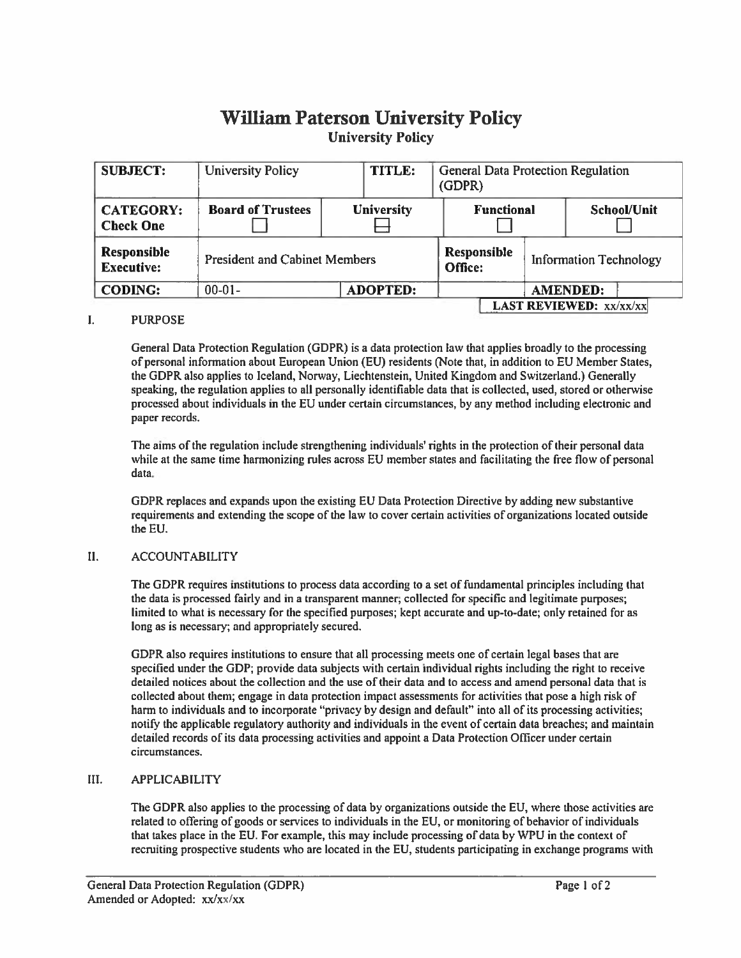# **William Paterson University Policy University Policy**

| <b>SUBJECT:</b>                      | <b>University Policy</b>             | TITLE:            | <b>General Data Protection Regulation</b><br>(GDPR) |                               |                                  |                    |  |
|--------------------------------------|--------------------------------------|-------------------|-----------------------------------------------------|-------------------------------|----------------------------------|--------------------|--|
| <b>CATEGORY:</b><br><b>Check One</b> | <b>Board of Trustees</b>             | <b>University</b> |                                                     | <b>Functional</b>             |                                  | <b>School/Unit</b> |  |
| Responsible<br><b>Executive:</b>     | <b>President and Cabinet Members</b> |                   |                                                     | <b>Responsible</b><br>Office: | <b>Information Technology</b>    |                    |  |
| <b>CODING:</b>                       | $00-01-$                             | <b>ADOPTED:</b>   |                                                     |                               |                                  | <b>AMENDED:</b>    |  |
|                                      |                                      |                   |                                                     |                               | <b>LAST REVIEWED:</b> $xx/xx/xx$ |                    |  |

### $\mathbf{I}$ . **PURPOSE**

General Data Protection Regulation (GDPR) is a data protection law that applies broadly to the processing of personal information about European Union (EU) residents (Note that, in addition to EU Member States, the GDPR also applies to Iceland, Norway, Liechtenstein, United Kingdom and Switzerland.) Generally speaking, the regulation applies to all personally identifiable data that is collected, used, stored or otherwise processed about individuals in the EU under certain circumstances, by any method including electronic and paper records.

The aims of the regulation include strengthening individuals' rights in the protection of their personal data while at the same time harmonizing rules across EU member states and facilitating the free flow of personal data.

GDPR replaces and expands upon the existing EU Data Protection Directive by adding new substantive requirements and extending the scope of the law to cover certain activities of organizations located outside the EU.

### $II.$ **ACCOUNTABILITY**

The GDPR requires institutions to process data according to a set of fundamental principles including that the data is processed fairly and in a transparent manner; collected for specific and legitimate purposes; limited to what is necessary for the specified purposes; kept accurate and up-to-date; only retained for as long as is necessary; and appropriately secured.

GDPR also requires institutions to ensure that all processing meets one of certain legal bases that are specified under the GDP; provide data subjects with certain individual rights including the right to receive detailed notices about the collection and the use of their data and to access and amend personal data that is collected about them; engage in data protection impact assessments for activities that pose a high risk of harm to individuals and to incorporate "privacy by design and default" into all of its processing activities; notify the applicable regulatory authority and individuals in the event of certain data breaches; and maintain detailed records of its data processing activities and appoint a Data Protection Officer under certain circumstances.

#### III. **APPLICABILITY**

The GDPR also applies to the processing of data by organizations outside the EU, where those activities are related to offering of goods or services to individuals in the EU, or monitoring of behavior of individuals that takes place in the EU. For example, this may include processing of data by WPU in the context of recruiting prospective students who are located in the EU, students participating in exchange programs with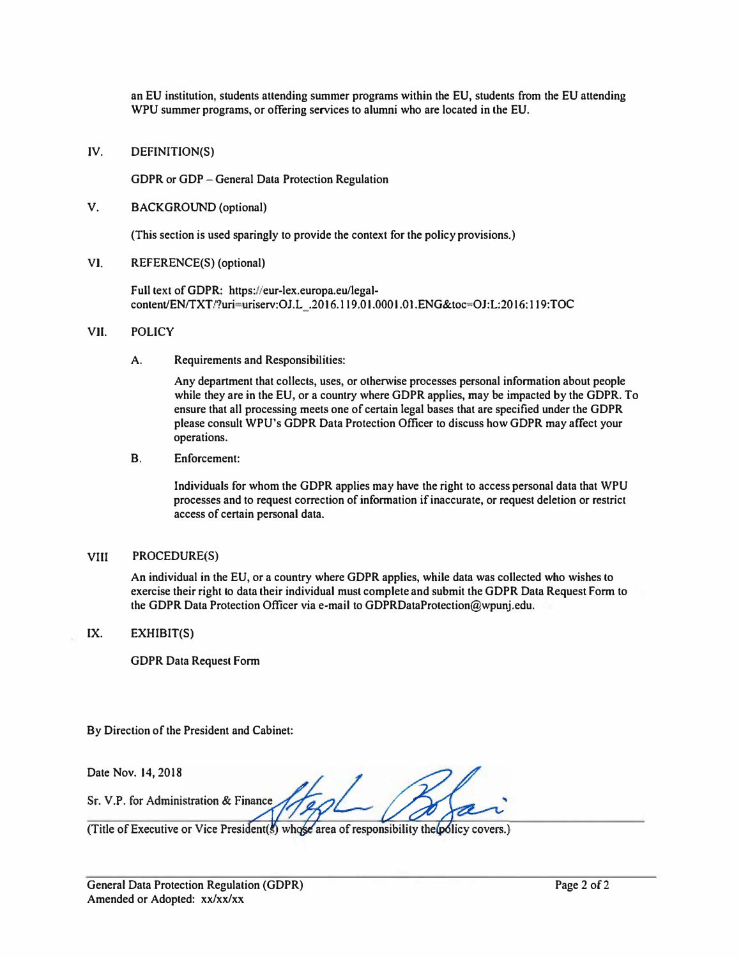**an EU institution, students attending summer programs within the EU, students from the EU attending WPU summer programs, or offering services to alumni who are located in the EU.** 

**JV. DEFINITION(S)** 

**GDPR or GDP -General Data Protection Regulation** 

**V. BACKGROUND (optional)**

**(This section is used sparingly to provide the context for the policy provisions.)**

**VI. REFERENCE(S) (optional)**

**Full text of GDPR: https://eur-lex.europa.eu/legalcontent/ENffXTnuri�riserv:OJ.L\_.2016.119.01.0001.0t .ENG&toc-OJ:L:2016: I l 9:TOC**

## **VII. POLICY**

**A. Requirements and Responsibilities:**

**Any department that collects, uses, or otherwise processes personal infonnation about people while they are in the EU, or a country where GDPR applies, may be impacted by the GDPR. To ensure that all processing meets one of certain legal bases that are specified under the GDPR please consult WPU's GDPR Data Protection Officer to discuss how GDPR may affect your operations.**

**B. Enforcement:**

**Individuals for whom the GDPR applies may have the right to access personal data that WPU processes and to request correction of infonnation if inaccurate, or request deletion or restrict access of certain personal data.**

## **VIII PROCEDURE(S)**

**An individual in the EU, or a country where GDPR applies, while data was collected who wishes to exercise their right to data their individual must complete and submit the GDPR Data Request Fonn to the GDPR Data Protection Officer via e-mail to GDPRDataProtection@wpunj.edu.** 

**IX. EXHIBIT(S)**

**GDPR Data Request Fonn**

**By Direction of the President and Cabinet:** 

**Date Nov. 14, 2018** 

Sr. V.P. for Administration & Finance

(Title of Executive or Vice President(s) whose area of responsibility the policy covers.)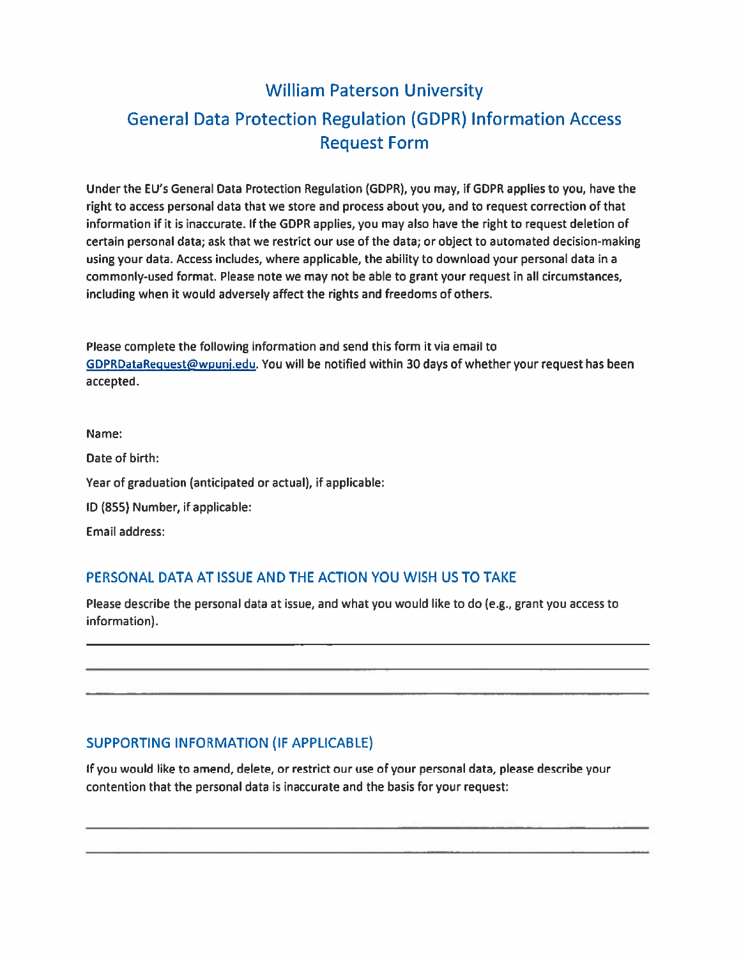# **William Paterson University General Data Protection Regulation (GDPR) Information Access Request Form**

Under the EU's General Data Protection Regulation (GDPR), you may, if GDPR applies to you, have the right to access personal data that we store and process about you, and to request correction of that information if it is inaccurate. If the GDPR applies, you may also have the right to request deletion of certain personal data; ask that we restrict our use of the data; or object to automated decision-making using your data. Access includes, where applicable, the ability to download your personal data in a commonly-used format. Please note we may not be able to grant your request in all circumstances, including when it would adversely affect the rights and freedoms of others.

Please complete the following information and send this form it via email to GDPRDataRequest@wpunj.edu. You will be notified within 30 days of whether your request has been accepted.

Name: Date of birth: Year of graduation (anticipated or actual), if applicable: ID (855) Number, if applicable: **Email address:** 

# PERSONAL DATA AT ISSUE AND THE ACTION YOU WISH US TO TAKE

Please describe the personal data at issue, and what you would like to do (e.g., grant you access to information).

# **SUPPORTING INFORMATION (IF APPLICABLE)**

If you would like to amend, delete, or restrict our use of your personal data, please describe your contention that the personal data is inaccurate and the basis for your request: